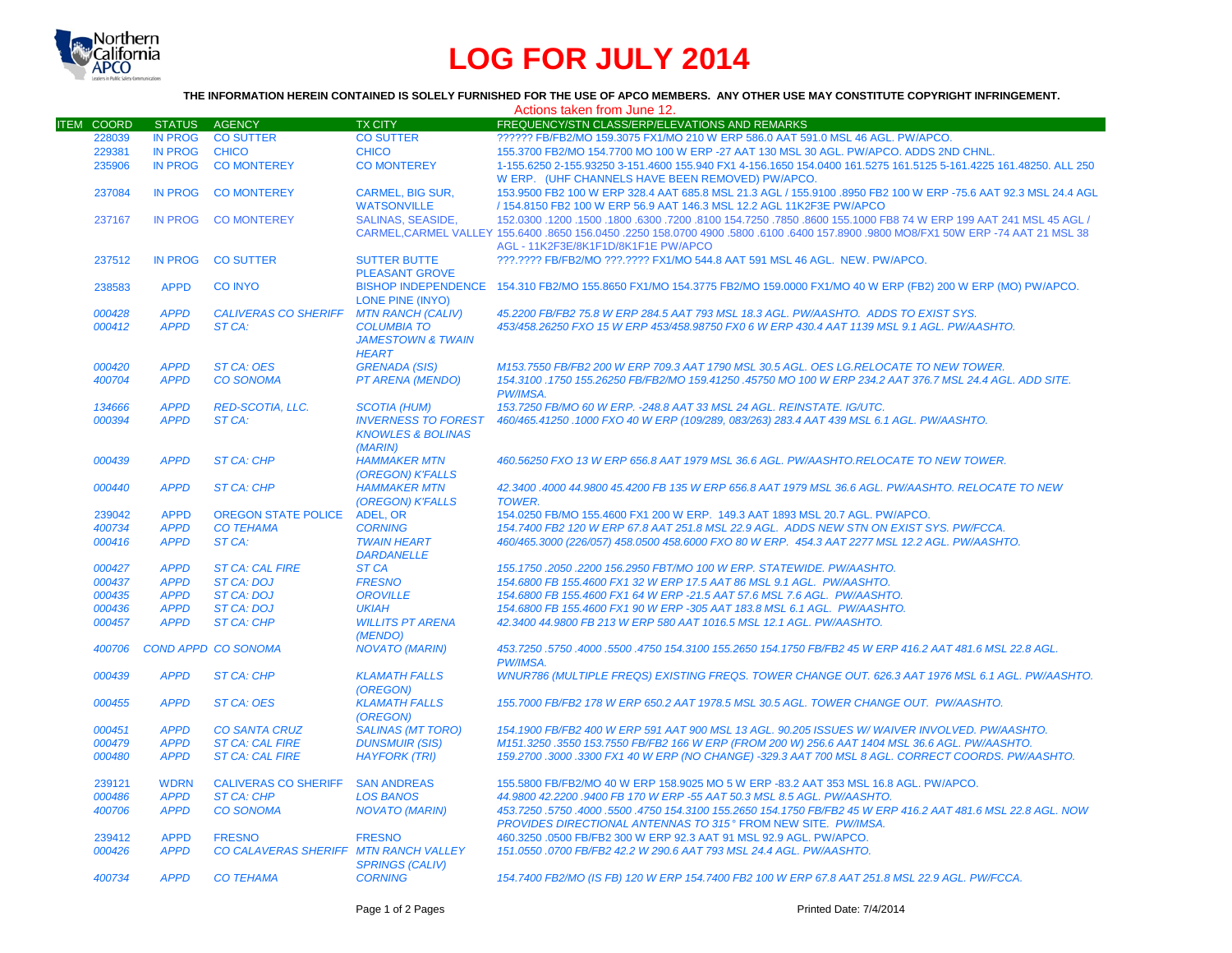

# **LOG FOR JULY 2014**

## **THE INFORMATION HEREIN CONTAINED IS SOLELY FURNISHED FOR THE USE OF APCO MEMBERS. ANY OTHER USE MAY CONSTITUTE COPYRIGHT INFRINGEMENT.**

| FREQUENCY/STN CLASS/ERP/ELEVATIONS AND REMARKS<br><b>ITEM COORD</b><br><b>STATUS</b><br><b>AGENCY</b><br><b>TX CITY</b><br><b>IN PROG</b><br><b>CO SUTTER</b><br>?????? FB/FB2/MO 159.3075 FX1/MO 210 W ERP 586.0 AAT 591.0 MSL 46 AGL. PW/APCO.<br>228039<br><b>CO SUTTER</b><br>229381<br><b>IN PROG</b><br><b>CHICO</b><br><b>CHICO</b><br>155.3700 FB2/MO 154.7700 MO 100 W ERP -27 AAT 130 MSL 30 AGL. PW/APCO. ADDS 2ND CHNL.<br><b>IN PROG</b><br>235906<br><b>CO MONTEREY</b><br><b>CO MONTEREY</b><br>1-155.6250 2-155.93250 3-151.4600 155.940 FX1 4-156.1650 154.0400 161.5275 161.5125 5-161.4225 161.48250. ALL 250<br>W ERP. (UHF CHANNELS HAVE BEEN REMOVED) PW/APCO.<br><b>IN PROG</b><br><b>CO MONTEREY</b><br><b>CARMEL. BIG SUR.</b><br>153.9500 FB2 100 W ERP 328.4 AAT 685.8 MSL 21.3 AGL / 155.9100 .8950 FB2 100 W ERP -75.6 AAT 92.3 MSL 24.4 AGL<br>237084<br><b>WATSONVILLE</b><br>/ 154.8150 FB2 100 W ERP 56.9 AAT 146.3 MSL 12.2 AGL 11K2F3E PW/APCO<br><b>SALINAS, SEASIDE,</b><br>152,0300 1200 155,000 155,1000 FB8 74 W ERP 199 AAT 241 MSL 45 AGL / 152,0300 152,0300 155,1000 155,1000 FB8 74<br>237167<br><b>IN PROG</b><br><b>CO MONTEREY</b><br>CARMEL, CARMEL VALLEY 155.6400 .8650 156.0450 .2250 158.0700 4900 .5800 .6100 .6400 157.8900 .9800 MO8/FX1 50W ERP -74 AAT 21 MSL 38<br>AGL - 11K2F3E/8K1F1D/8K1F1E PW/APCO<br>237512<br><b>IN PROG</b><br><b>CO SUTTER</b><br><b>SUTTER BUTTE</b><br>???.???? FB/FB2/MO ???.???? FX1/MO 544.8 AAT 591 MSL 46 AGL. NEW. PW/APCO.<br><b>PLEASANT GROVE</b><br>BISHOP INDEPENDENCE 154.310 FB2/MO 155.8650 FX1/MO 154.3775 FB2/MO 159.0000 FX1/MO 40 W ERP (FB2) 200 W ERP (MO) PW/APCO.<br><b>APPD</b><br><b>CO INYO</b><br>238583<br><b>LONE PINE (INYO)</b><br><b>APPD</b><br><b>CALIVERAS CO SHERIFF</b><br><b>MTN RANCH (CALIV)</b><br>45.2200 FB/FB2 75.8 W ERP 284.5 AAT 793 MSL 18.3 AGL. PW/AASHTO. ADDS TO EXIST SYS.<br>000428<br><b>APPD</b><br>ST CA:<br>453/458.26250 FXO 15 W ERP 453/458.98750 FX0 6 W ERP 430.4 AAT 1139 MSL 9.1 AGL. PW/AASHTO.<br>000412<br><b>COLUMBIA TO</b><br><b>JAMESTOWN &amp; TWAIN</b><br><b>HEART</b><br><b>APPD</b><br>000420<br><b>ST CA: OES</b><br><b>GRENADA (SIS)</b><br>M153.7550 FB/FB2 200 W ERP 709.3 AAT 1790 MSL 30.5 AGL. OES LG.RELOCATE TO NEW TOWER.<br><b>APPD</b><br><b>CO SONOMA</b><br><b>PT ARENA (MENDO)</b><br>154.3100 .1750 155.26250 FB/FB2/MO 159.41250 .45750 MO 100 W ERP 234.2 AAT 376.7 MSL 24.4 AGL. ADD SITE.<br>400704<br>PW/IMSA.<br><b>APPD</b><br><b>RED-SCOTIA, LLC.</b><br>153.7250 FB/MO 60 W ERP. - 248.8 AAT 33 MSL 24 AGL. REINSTATE. IG/UTC.<br>134666<br><b>SCOTIA (HUM)</b><br><b>APPD</b><br><b>INVERNESS TO FOREST</b><br>000394<br>ST CA:<br>460/465.41250 .1000 FXO 40 W ERP (109/289, 083/263) 283.4 AAT 439 MSL 6.1 AGL. PW/AASHTO.<br><b>KNOWLES &amp; BOLINAS</b><br>(MARIN)<br><b>APPD</b><br><b>HAMMAKER MTN</b><br>460.56250 FXO 13 W ERP 656.8 AAT 1979 MSL 36.6 AGL, PW/AASHTO.RELOCATE TO NEW TOWER.<br>000439<br><b>ST CA: CHP</b><br>(OREGON) K'FALLS<br>000440<br><b>APPD</b><br><b>HAMMAKER MTN</b><br>42.3400.4000 44.9800 45.4200 FB 135 W ERP 656.8 AAT 1979 MSL 36.6 AGL, PW/AASHTO, RELOCATE TO NEW<br><b>ST CA: CHP</b><br>(OREGON) K'FALLS<br><b>TOWER.</b><br><b>APPD</b><br>239042<br><b>OREGON STATE POLICE</b><br><b>ADEL, OR</b><br>154,0250 FB/MO 155,4600 FX1 200 W ERP. 149.3 AAT 1893 MSL 20.7 AGL. PW/APCO.<br><b>APPD</b><br><b>CO TEHAMA</b><br>154.7400 FB2 120 W ERP 67.8 AAT 251.8 MSL 22.9 AGL. ADDS NEW STN ON EXIST SYS. PW/FCCA.<br>400734<br><b>CORNING</b><br>000416<br><b>APPD</b><br>ST CA:<br>460/465.3000 (226/057) 458.0500 458.6000 FXO 80 W ERP. 454.3 AAT 2277 MSL 12.2 AGL. PW/AASHTO.<br><b>TWAIN HEART</b><br><b>DARDANELLE</b><br>000427<br><b>APPD</b><br><b>ST CA: CAL FIRE</b><br><b>ST CA</b><br>155.1750.2050.2200 156.2950 FBT/MO 100 W ERP. STATEWIDE. PW/AASHTO.<br><b>APPD</b><br><b>ST CA: DOJ</b><br>154.6800 FB 155.4600 FX1 32 W ERP 17.5 AAT 86 MSL 9.1 AGL. PW/AASHTO.<br>000437<br><b>FRESNO</b><br>000435<br><b>APPD</b><br><b>ST CA: DOJ</b><br><b>OROVILLE</b><br>154.6800 FB 155.4600 FX1 64 W ERP -21.5 AAT 57.6 MSL 7.6 AGL. PW/AASHTO.<br>000436<br><b>APPD</b><br>154.6800 FB 155.4600 FX1 90 W ERP -305 AAT 183.8 MSL 6.1 AGL. PW/AASHTO.<br><b>ST CA: DOJ</b><br><b>UKIAH</b><br><b>APPD</b><br>000457<br><b>ST CA: CHP</b><br><b>WILLITS PT ARENA</b><br>42.3400 44.9800 FB 213 W ERP 580 AAT 1016.5 MSL 12.1 AGL, PW/AASHTO.<br>(MENDO)<br><b>COND APPD CO SONOMA</b><br>453.7250 .5750 .4000 .5500 .4750 154.3100 155.2650 154.1750 FB/FB2 45 W ERP 416.2 AAT 481.6 MSL 22.8 AGL<br>400706<br><b>NOVATO (MARIN)</b><br>PW/IMSA.<br>000439<br><b>APPD</b><br><b>ST CA: CHP</b><br><b>KLAMATH FALLS</b><br>WNUR786 (MULTIPLE FREQS) EXISTING FREQS. TOWER CHANGE OUT. 626.3 AAT 1976 MSL 6.1 AGL. PW/AASHTO.<br>(OREGON)<br><b>APPD</b><br><b>ST CA: OES</b><br><b>KLAMATH FALLS</b><br>155,7000 FB/FB2 178 W ERP 650.2 AAT 1978.5 MSL 30.5 AGL. TOWER CHANGE OUT. PW/AASHTO.<br>000455<br>(OREGON)<br><b>APPD</b><br><b>CO SANTA CRUZ</b><br><b>SALINAS (MT TORO)</b><br>154.1900 FB/FB2 400 W ERP 591 AAT 900 MSL 13 AGL. 90.205 ISSUES W/WAIVER INVOLVED, PW/AASHTO,<br>000451<br><b>ST CA: CAL FIRE</b><br>M151.3250 .3550 153.7550 FB/FB2 166 W ERP (FROM 200 W) 256.6 AAT 1404 MSL 36.6 AGL. PW/AASHTO.<br>000479<br><b>APPD</b><br><b>DUNSMUIR (SIS)</b><br>000480<br><b>APPD</b><br><b>ST CA: CAL FIRE</b><br><b>HAYFORK (TRI)</b><br>159.2700 .3000 .3300 FX1 40 W ERP (NO CHANGE) -329.3 AAT 700 MSL 8 AGL. CORRECT COORDS. PW/AASHTO.<br>155.5800 FB/FB2/MO 40 W ERP 158.9025 MO 5 W ERP -83.2 AAT 353 MSL 16.8 AGL. PW/APCO.<br>239121<br><b>WDRN</b><br><b>CALIVERAS CO SHERIFF</b><br><b>SAN ANDREAS</b><br>000486<br><b>APPD</b><br><b>ST CA: CHP</b><br><b>LOS BANOS</b><br>44.9800 42.2200 .9400 FB 170 W ERP -55 AAT 50.3 MSL 8.5 AGL. PW/AASHTO.<br><b>APPD</b><br><b>CO SONOMA</b><br>400706<br><b>NOVATO (MARIN)</b><br>453.7250 .5750 .4000 .5500 .4750 154.3100 155.2650 154.1750 FB/FB2 45 W ERP 416.2 AAT 481.6 MSL 22.8 AGL. NOW<br>PROVIDES DIRECTIONAL ANTENNAS TO 315° FROM NEW SITE. PW/IMSA.<br>239412<br><b>APPD</b><br><b>FRESNO</b><br><b>FRESNO</b><br>460.3250 .0500 FB/FB2 300 W ERP 92.3 AAT 91 MSL 92.9 AGL. PW/APCO.<br><b>APPD</b><br>000426<br>CO CALAVERAS SHERIFF MTN RANCH VALLEY<br>151.0550.0700 FB/FB2 42.2 W 290.6 AAT 793 MSL 24.4 AGL, PW/AASHTO.<br><b>SPRINGS (CALIV)</b><br><b>APPD</b><br><b>CO TEHAMA</b><br><b>CORNING</b><br>154.7400 FB2/MO (IS FB) 120 W ERP 154.7400 FB2 100 W ERP 67.8 AAT 251.8 MSL 22.9 AGL. PW/FCCA.<br>400734 |  |  | Actions taken from June 12. |
|--------------------------------------------------------------------------------------------------------------------------------------------------------------------------------------------------------------------------------------------------------------------------------------------------------------------------------------------------------------------------------------------------------------------------------------------------------------------------------------------------------------------------------------------------------------------------------------------------------------------------------------------------------------------------------------------------------------------------------------------------------------------------------------------------------------------------------------------------------------------------------------------------------------------------------------------------------------------------------------------------------------------------------------------------------------------------------------------------------------------------------------------------------------------------------------------------------------------------------------------------------------------------------------------------------------------------------------------------------------------------------------------------------------------------------------------------------------------------------------------------------------------------------------------------------------------------------------------------------------------------------------------------------------------------------------------------------------------------------------------------------------------------------------------------------------------------------------------------------------------------------------------------------------------------------------------------------------------------------------------------------------------------------------------------------------------------------------------------------------------------------------------------------------------------------------------------------------------------------------------------------------------------------------------------------------------------------------------------------------------------------------------------------------------------------------------------------------------------------------------------------------------------------------------------------------------------------------------------------------------------------------------------------------------------------------------------------------------------------------------------------------------------------------------------------------------------------------------------------------------------------------------------------------------------------------------------------------------------------------------------------------------------------------------------------------------------------------------------------------------------------------------------------------------------------------------------------------------------------------------------------------------------------------------------------------------------------------------------------------------------------------------------------------------------------------------------------------------------------------------------------------------------------------------------------------------------------------------------------------------------------------------------------------------------------------------------------------------------------------------------------------------------------------------------------------------------------------------------------------------------------------------------------------------------------------------------------------------------------------------------------------------------------------------------------------------------------------------------------------------------------------------------------------------------------------------------------------------------------------------------------------------------------------------------------------------------------------------------------------------------------------------------------------------------------------------------------------------------------------------------------------------------------------------------------------------------------------------------------------------------------------------------------------------------------------------------------------------------------------------------------------------------------------------------------------------------------------------------------------------------------------------------------------------------------------------------------------------------------------------------------------------------------------------------------------------------------------------------------------------------------------------------------------------------------------------------------------------------------------------------------------------------------------------------------------------------------------------------------------------------------------------------------------------------------------------------------------------------------------------------------------------------------------------------------------------------------------------------------------------------------------------------------------------------------------------------------------------------------------------------------------------------------------------------------------------------------------------------------------------------------------------------------------------------------------------------------------------------------------------------------------------------------------------------------------------------------------------------------------------------------------------------------------------------------------------------------------------------------------------------------------------------------------------------------------------------------------------------------------------------------------------------------------------------------------------------------------------------------------------------------------------------------------------------------------------------------------------------------------------------------------------------------------------|--|--|-----------------------------|
|                                                                                                                                                                                                                                                                                                                                                                                                                                                                                                                                                                                                                                                                                                                                                                                                                                                                                                                                                                                                                                                                                                                                                                                                                                                                                                                                                                                                                                                                                                                                                                                                                                                                                                                                                                                                                                                                                                                                                                                                                                                                                                                                                                                                                                                                                                                                                                                                                                                                                                                                                                                                                                                                                                                                                                                                                                                                                                                                                                                                                                                                                                                                                                                                                                                                                                                                                                                                                                                                                                                                                                                                                                                                                                                                                                                                                                                                                                                                                                                                                                                                                                                                                                                                                                                                                                                                                                                                                                                                                                                                                                                                                                                                                                                                                                                                                                                                                                                                                                                                                                                                                                                                                                                                                                                                                                                                                                                                                                                                                                                                                                                                                                                                                                                                                                                                                                                                                                                                                                                                                                                                                                                                                                                                                                                                                                                                                                                                                                                                                                                                                                                                                                                                    |  |  |                             |
|                                                                                                                                                                                                                                                                                                                                                                                                                                                                                                                                                                                                                                                                                                                                                                                                                                                                                                                                                                                                                                                                                                                                                                                                                                                                                                                                                                                                                                                                                                                                                                                                                                                                                                                                                                                                                                                                                                                                                                                                                                                                                                                                                                                                                                                                                                                                                                                                                                                                                                                                                                                                                                                                                                                                                                                                                                                                                                                                                                                                                                                                                                                                                                                                                                                                                                                                                                                                                                                                                                                                                                                                                                                                                                                                                                                                                                                                                                                                                                                                                                                                                                                                                                                                                                                                                                                                                                                                                                                                                                                                                                                                                                                                                                                                                                                                                                                                                                                                                                                                                                                                                                                                                                                                                                                                                                                                                                                                                                                                                                                                                                                                                                                                                                                                                                                                                                                                                                                                                                                                                                                                                                                                                                                                                                                                                                                                                                                                                                                                                                                                                                                                                                                                    |  |  |                             |
|                                                                                                                                                                                                                                                                                                                                                                                                                                                                                                                                                                                                                                                                                                                                                                                                                                                                                                                                                                                                                                                                                                                                                                                                                                                                                                                                                                                                                                                                                                                                                                                                                                                                                                                                                                                                                                                                                                                                                                                                                                                                                                                                                                                                                                                                                                                                                                                                                                                                                                                                                                                                                                                                                                                                                                                                                                                                                                                                                                                                                                                                                                                                                                                                                                                                                                                                                                                                                                                                                                                                                                                                                                                                                                                                                                                                                                                                                                                                                                                                                                                                                                                                                                                                                                                                                                                                                                                                                                                                                                                                                                                                                                                                                                                                                                                                                                                                                                                                                                                                                                                                                                                                                                                                                                                                                                                                                                                                                                                                                                                                                                                                                                                                                                                                                                                                                                                                                                                                                                                                                                                                                                                                                                                                                                                                                                                                                                                                                                                                                                                                                                                                                                                                    |  |  |                             |
|                                                                                                                                                                                                                                                                                                                                                                                                                                                                                                                                                                                                                                                                                                                                                                                                                                                                                                                                                                                                                                                                                                                                                                                                                                                                                                                                                                                                                                                                                                                                                                                                                                                                                                                                                                                                                                                                                                                                                                                                                                                                                                                                                                                                                                                                                                                                                                                                                                                                                                                                                                                                                                                                                                                                                                                                                                                                                                                                                                                                                                                                                                                                                                                                                                                                                                                                                                                                                                                                                                                                                                                                                                                                                                                                                                                                                                                                                                                                                                                                                                                                                                                                                                                                                                                                                                                                                                                                                                                                                                                                                                                                                                                                                                                                                                                                                                                                                                                                                                                                                                                                                                                                                                                                                                                                                                                                                                                                                                                                                                                                                                                                                                                                                                                                                                                                                                                                                                                                                                                                                                                                                                                                                                                                                                                                                                                                                                                                                                                                                                                                                                                                                                                                    |  |  |                             |
|                                                                                                                                                                                                                                                                                                                                                                                                                                                                                                                                                                                                                                                                                                                                                                                                                                                                                                                                                                                                                                                                                                                                                                                                                                                                                                                                                                                                                                                                                                                                                                                                                                                                                                                                                                                                                                                                                                                                                                                                                                                                                                                                                                                                                                                                                                                                                                                                                                                                                                                                                                                                                                                                                                                                                                                                                                                                                                                                                                                                                                                                                                                                                                                                                                                                                                                                                                                                                                                                                                                                                                                                                                                                                                                                                                                                                                                                                                                                                                                                                                                                                                                                                                                                                                                                                                                                                                                                                                                                                                                                                                                                                                                                                                                                                                                                                                                                                                                                                                                                                                                                                                                                                                                                                                                                                                                                                                                                                                                                                                                                                                                                                                                                                                                                                                                                                                                                                                                                                                                                                                                                                                                                                                                                                                                                                                                                                                                                                                                                                                                                                                                                                                                                    |  |  |                             |
|                                                                                                                                                                                                                                                                                                                                                                                                                                                                                                                                                                                                                                                                                                                                                                                                                                                                                                                                                                                                                                                                                                                                                                                                                                                                                                                                                                                                                                                                                                                                                                                                                                                                                                                                                                                                                                                                                                                                                                                                                                                                                                                                                                                                                                                                                                                                                                                                                                                                                                                                                                                                                                                                                                                                                                                                                                                                                                                                                                                                                                                                                                                                                                                                                                                                                                                                                                                                                                                                                                                                                                                                                                                                                                                                                                                                                                                                                                                                                                                                                                                                                                                                                                                                                                                                                                                                                                                                                                                                                                                                                                                                                                                                                                                                                                                                                                                                                                                                                                                                                                                                                                                                                                                                                                                                                                                                                                                                                                                                                                                                                                                                                                                                                                                                                                                                                                                                                                                                                                                                                                                                                                                                                                                                                                                                                                                                                                                                                                                                                                                                                                                                                                                                    |  |  |                             |
|                                                                                                                                                                                                                                                                                                                                                                                                                                                                                                                                                                                                                                                                                                                                                                                                                                                                                                                                                                                                                                                                                                                                                                                                                                                                                                                                                                                                                                                                                                                                                                                                                                                                                                                                                                                                                                                                                                                                                                                                                                                                                                                                                                                                                                                                                                                                                                                                                                                                                                                                                                                                                                                                                                                                                                                                                                                                                                                                                                                                                                                                                                                                                                                                                                                                                                                                                                                                                                                                                                                                                                                                                                                                                                                                                                                                                                                                                                                                                                                                                                                                                                                                                                                                                                                                                                                                                                                                                                                                                                                                                                                                                                                                                                                                                                                                                                                                                                                                                                                                                                                                                                                                                                                                                                                                                                                                                                                                                                                                                                                                                                                                                                                                                                                                                                                                                                                                                                                                                                                                                                                                                                                                                                                                                                                                                                                                                                                                                                                                                                                                                                                                                                                                    |  |  |                             |
|                                                                                                                                                                                                                                                                                                                                                                                                                                                                                                                                                                                                                                                                                                                                                                                                                                                                                                                                                                                                                                                                                                                                                                                                                                                                                                                                                                                                                                                                                                                                                                                                                                                                                                                                                                                                                                                                                                                                                                                                                                                                                                                                                                                                                                                                                                                                                                                                                                                                                                                                                                                                                                                                                                                                                                                                                                                                                                                                                                                                                                                                                                                                                                                                                                                                                                                                                                                                                                                                                                                                                                                                                                                                                                                                                                                                                                                                                                                                                                                                                                                                                                                                                                                                                                                                                                                                                                                                                                                                                                                                                                                                                                                                                                                                                                                                                                                                                                                                                                                                                                                                                                                                                                                                                                                                                                                                                                                                                                                                                                                                                                                                                                                                                                                                                                                                                                                                                                                                                                                                                                                                                                                                                                                                                                                                                                                                                                                                                                                                                                                                                                                                                                                                    |  |  |                             |
|                                                                                                                                                                                                                                                                                                                                                                                                                                                                                                                                                                                                                                                                                                                                                                                                                                                                                                                                                                                                                                                                                                                                                                                                                                                                                                                                                                                                                                                                                                                                                                                                                                                                                                                                                                                                                                                                                                                                                                                                                                                                                                                                                                                                                                                                                                                                                                                                                                                                                                                                                                                                                                                                                                                                                                                                                                                                                                                                                                                                                                                                                                                                                                                                                                                                                                                                                                                                                                                                                                                                                                                                                                                                                                                                                                                                                                                                                                                                                                                                                                                                                                                                                                                                                                                                                                                                                                                                                                                                                                                                                                                                                                                                                                                                                                                                                                                                                                                                                                                                                                                                                                                                                                                                                                                                                                                                                                                                                                                                                                                                                                                                                                                                                                                                                                                                                                                                                                                                                                                                                                                                                                                                                                                                                                                                                                                                                                                                                                                                                                                                                                                                                                                                    |  |  |                             |
|                                                                                                                                                                                                                                                                                                                                                                                                                                                                                                                                                                                                                                                                                                                                                                                                                                                                                                                                                                                                                                                                                                                                                                                                                                                                                                                                                                                                                                                                                                                                                                                                                                                                                                                                                                                                                                                                                                                                                                                                                                                                                                                                                                                                                                                                                                                                                                                                                                                                                                                                                                                                                                                                                                                                                                                                                                                                                                                                                                                                                                                                                                                                                                                                                                                                                                                                                                                                                                                                                                                                                                                                                                                                                                                                                                                                                                                                                                                                                                                                                                                                                                                                                                                                                                                                                                                                                                                                                                                                                                                                                                                                                                                                                                                                                                                                                                                                                                                                                                                                                                                                                                                                                                                                                                                                                                                                                                                                                                                                                                                                                                                                                                                                                                                                                                                                                                                                                                                                                                                                                                                                                                                                                                                                                                                                                                                                                                                                                                                                                                                                                                                                                                                                    |  |  |                             |
|                                                                                                                                                                                                                                                                                                                                                                                                                                                                                                                                                                                                                                                                                                                                                                                                                                                                                                                                                                                                                                                                                                                                                                                                                                                                                                                                                                                                                                                                                                                                                                                                                                                                                                                                                                                                                                                                                                                                                                                                                                                                                                                                                                                                                                                                                                                                                                                                                                                                                                                                                                                                                                                                                                                                                                                                                                                                                                                                                                                                                                                                                                                                                                                                                                                                                                                                                                                                                                                                                                                                                                                                                                                                                                                                                                                                                                                                                                                                                                                                                                                                                                                                                                                                                                                                                                                                                                                                                                                                                                                                                                                                                                                                                                                                                                                                                                                                                                                                                                                                                                                                                                                                                                                                                                                                                                                                                                                                                                                                                                                                                                                                                                                                                                                                                                                                                                                                                                                                                                                                                                                                                                                                                                                                                                                                                                                                                                                                                                                                                                                                                                                                                                                                    |  |  |                             |
|                                                                                                                                                                                                                                                                                                                                                                                                                                                                                                                                                                                                                                                                                                                                                                                                                                                                                                                                                                                                                                                                                                                                                                                                                                                                                                                                                                                                                                                                                                                                                                                                                                                                                                                                                                                                                                                                                                                                                                                                                                                                                                                                                                                                                                                                                                                                                                                                                                                                                                                                                                                                                                                                                                                                                                                                                                                                                                                                                                                                                                                                                                                                                                                                                                                                                                                                                                                                                                                                                                                                                                                                                                                                                                                                                                                                                                                                                                                                                                                                                                                                                                                                                                                                                                                                                                                                                                                                                                                                                                                                                                                                                                                                                                                                                                                                                                                                                                                                                                                                                                                                                                                                                                                                                                                                                                                                                                                                                                                                                                                                                                                                                                                                                                                                                                                                                                                                                                                                                                                                                                                                                                                                                                                                                                                                                                                                                                                                                                                                                                                                                                                                                                                                    |  |  |                             |
|                                                                                                                                                                                                                                                                                                                                                                                                                                                                                                                                                                                                                                                                                                                                                                                                                                                                                                                                                                                                                                                                                                                                                                                                                                                                                                                                                                                                                                                                                                                                                                                                                                                                                                                                                                                                                                                                                                                                                                                                                                                                                                                                                                                                                                                                                                                                                                                                                                                                                                                                                                                                                                                                                                                                                                                                                                                                                                                                                                                                                                                                                                                                                                                                                                                                                                                                                                                                                                                                                                                                                                                                                                                                                                                                                                                                                                                                                                                                                                                                                                                                                                                                                                                                                                                                                                                                                                                                                                                                                                                                                                                                                                                                                                                                                                                                                                                                                                                                                                                                                                                                                                                                                                                                                                                                                                                                                                                                                                                                                                                                                                                                                                                                                                                                                                                                                                                                                                                                                                                                                                                                                                                                                                                                                                                                                                                                                                                                                                                                                                                                                                                                                                                                    |  |  |                             |
|                                                                                                                                                                                                                                                                                                                                                                                                                                                                                                                                                                                                                                                                                                                                                                                                                                                                                                                                                                                                                                                                                                                                                                                                                                                                                                                                                                                                                                                                                                                                                                                                                                                                                                                                                                                                                                                                                                                                                                                                                                                                                                                                                                                                                                                                                                                                                                                                                                                                                                                                                                                                                                                                                                                                                                                                                                                                                                                                                                                                                                                                                                                                                                                                                                                                                                                                                                                                                                                                                                                                                                                                                                                                                                                                                                                                                                                                                                                                                                                                                                                                                                                                                                                                                                                                                                                                                                                                                                                                                                                                                                                                                                                                                                                                                                                                                                                                                                                                                                                                                                                                                                                                                                                                                                                                                                                                                                                                                                                                                                                                                                                                                                                                                                                                                                                                                                                                                                                                                                                                                                                                                                                                                                                                                                                                                                                                                                                                                                                                                                                                                                                                                                                                    |  |  |                             |
|                                                                                                                                                                                                                                                                                                                                                                                                                                                                                                                                                                                                                                                                                                                                                                                                                                                                                                                                                                                                                                                                                                                                                                                                                                                                                                                                                                                                                                                                                                                                                                                                                                                                                                                                                                                                                                                                                                                                                                                                                                                                                                                                                                                                                                                                                                                                                                                                                                                                                                                                                                                                                                                                                                                                                                                                                                                                                                                                                                                                                                                                                                                                                                                                                                                                                                                                                                                                                                                                                                                                                                                                                                                                                                                                                                                                                                                                                                                                                                                                                                                                                                                                                                                                                                                                                                                                                                                                                                                                                                                                                                                                                                                                                                                                                                                                                                                                                                                                                                                                                                                                                                                                                                                                                                                                                                                                                                                                                                                                                                                                                                                                                                                                                                                                                                                                                                                                                                                                                                                                                                                                                                                                                                                                                                                                                                                                                                                                                                                                                                                                                                                                                                                                    |  |  |                             |
|                                                                                                                                                                                                                                                                                                                                                                                                                                                                                                                                                                                                                                                                                                                                                                                                                                                                                                                                                                                                                                                                                                                                                                                                                                                                                                                                                                                                                                                                                                                                                                                                                                                                                                                                                                                                                                                                                                                                                                                                                                                                                                                                                                                                                                                                                                                                                                                                                                                                                                                                                                                                                                                                                                                                                                                                                                                                                                                                                                                                                                                                                                                                                                                                                                                                                                                                                                                                                                                                                                                                                                                                                                                                                                                                                                                                                                                                                                                                                                                                                                                                                                                                                                                                                                                                                                                                                                                                                                                                                                                                                                                                                                                                                                                                                                                                                                                                                                                                                                                                                                                                                                                                                                                                                                                                                                                                                                                                                                                                                                                                                                                                                                                                                                                                                                                                                                                                                                                                                                                                                                                                                                                                                                                                                                                                                                                                                                                                                                                                                                                                                                                                                                                                    |  |  |                             |
|                                                                                                                                                                                                                                                                                                                                                                                                                                                                                                                                                                                                                                                                                                                                                                                                                                                                                                                                                                                                                                                                                                                                                                                                                                                                                                                                                                                                                                                                                                                                                                                                                                                                                                                                                                                                                                                                                                                                                                                                                                                                                                                                                                                                                                                                                                                                                                                                                                                                                                                                                                                                                                                                                                                                                                                                                                                                                                                                                                                                                                                                                                                                                                                                                                                                                                                                                                                                                                                                                                                                                                                                                                                                                                                                                                                                                                                                                                                                                                                                                                                                                                                                                                                                                                                                                                                                                                                                                                                                                                                                                                                                                                                                                                                                                                                                                                                                                                                                                                                                                                                                                                                                                                                                                                                                                                                                                                                                                                                                                                                                                                                                                                                                                                                                                                                                                                                                                                                                                                                                                                                                                                                                                                                                                                                                                                                                                                                                                                                                                                                                                                                                                                                                    |  |  |                             |
|                                                                                                                                                                                                                                                                                                                                                                                                                                                                                                                                                                                                                                                                                                                                                                                                                                                                                                                                                                                                                                                                                                                                                                                                                                                                                                                                                                                                                                                                                                                                                                                                                                                                                                                                                                                                                                                                                                                                                                                                                                                                                                                                                                                                                                                                                                                                                                                                                                                                                                                                                                                                                                                                                                                                                                                                                                                                                                                                                                                                                                                                                                                                                                                                                                                                                                                                                                                                                                                                                                                                                                                                                                                                                                                                                                                                                                                                                                                                                                                                                                                                                                                                                                                                                                                                                                                                                                                                                                                                                                                                                                                                                                                                                                                                                                                                                                                                                                                                                                                                                                                                                                                                                                                                                                                                                                                                                                                                                                                                                                                                                                                                                                                                                                                                                                                                                                                                                                                                                                                                                                                                                                                                                                                                                                                                                                                                                                                                                                                                                                                                                                                                                                                                    |  |  |                             |
|                                                                                                                                                                                                                                                                                                                                                                                                                                                                                                                                                                                                                                                                                                                                                                                                                                                                                                                                                                                                                                                                                                                                                                                                                                                                                                                                                                                                                                                                                                                                                                                                                                                                                                                                                                                                                                                                                                                                                                                                                                                                                                                                                                                                                                                                                                                                                                                                                                                                                                                                                                                                                                                                                                                                                                                                                                                                                                                                                                                                                                                                                                                                                                                                                                                                                                                                                                                                                                                                                                                                                                                                                                                                                                                                                                                                                                                                                                                                                                                                                                                                                                                                                                                                                                                                                                                                                                                                                                                                                                                                                                                                                                                                                                                                                                                                                                                                                                                                                                                                                                                                                                                                                                                                                                                                                                                                                                                                                                                                                                                                                                                                                                                                                                                                                                                                                                                                                                                                                                                                                                                                                                                                                                                                                                                                                                                                                                                                                                                                                                                                                                                                                                                                    |  |  |                             |
|                                                                                                                                                                                                                                                                                                                                                                                                                                                                                                                                                                                                                                                                                                                                                                                                                                                                                                                                                                                                                                                                                                                                                                                                                                                                                                                                                                                                                                                                                                                                                                                                                                                                                                                                                                                                                                                                                                                                                                                                                                                                                                                                                                                                                                                                                                                                                                                                                                                                                                                                                                                                                                                                                                                                                                                                                                                                                                                                                                                                                                                                                                                                                                                                                                                                                                                                                                                                                                                                                                                                                                                                                                                                                                                                                                                                                                                                                                                                                                                                                                                                                                                                                                                                                                                                                                                                                                                                                                                                                                                                                                                                                                                                                                                                                                                                                                                                                                                                                                                                                                                                                                                                                                                                                                                                                                                                                                                                                                                                                                                                                                                                                                                                                                                                                                                                                                                                                                                                                                                                                                                                                                                                                                                                                                                                                                                                                                                                                                                                                                                                                                                                                                                                    |  |  |                             |
|                                                                                                                                                                                                                                                                                                                                                                                                                                                                                                                                                                                                                                                                                                                                                                                                                                                                                                                                                                                                                                                                                                                                                                                                                                                                                                                                                                                                                                                                                                                                                                                                                                                                                                                                                                                                                                                                                                                                                                                                                                                                                                                                                                                                                                                                                                                                                                                                                                                                                                                                                                                                                                                                                                                                                                                                                                                                                                                                                                                                                                                                                                                                                                                                                                                                                                                                                                                                                                                                                                                                                                                                                                                                                                                                                                                                                                                                                                                                                                                                                                                                                                                                                                                                                                                                                                                                                                                                                                                                                                                                                                                                                                                                                                                                                                                                                                                                                                                                                                                                                                                                                                                                                                                                                                                                                                                                                                                                                                                                                                                                                                                                                                                                                                                                                                                                                                                                                                                                                                                                                                                                                                                                                                                                                                                                                                                                                                                                                                                                                                                                                                                                                                                                    |  |  |                             |
|                                                                                                                                                                                                                                                                                                                                                                                                                                                                                                                                                                                                                                                                                                                                                                                                                                                                                                                                                                                                                                                                                                                                                                                                                                                                                                                                                                                                                                                                                                                                                                                                                                                                                                                                                                                                                                                                                                                                                                                                                                                                                                                                                                                                                                                                                                                                                                                                                                                                                                                                                                                                                                                                                                                                                                                                                                                                                                                                                                                                                                                                                                                                                                                                                                                                                                                                                                                                                                                                                                                                                                                                                                                                                                                                                                                                                                                                                                                                                                                                                                                                                                                                                                                                                                                                                                                                                                                                                                                                                                                                                                                                                                                                                                                                                                                                                                                                                                                                                                                                                                                                                                                                                                                                                                                                                                                                                                                                                                                                                                                                                                                                                                                                                                                                                                                                                                                                                                                                                                                                                                                                                                                                                                                                                                                                                                                                                                                                                                                                                                                                                                                                                                                                    |  |  |                             |
|                                                                                                                                                                                                                                                                                                                                                                                                                                                                                                                                                                                                                                                                                                                                                                                                                                                                                                                                                                                                                                                                                                                                                                                                                                                                                                                                                                                                                                                                                                                                                                                                                                                                                                                                                                                                                                                                                                                                                                                                                                                                                                                                                                                                                                                                                                                                                                                                                                                                                                                                                                                                                                                                                                                                                                                                                                                                                                                                                                                                                                                                                                                                                                                                                                                                                                                                                                                                                                                                                                                                                                                                                                                                                                                                                                                                                                                                                                                                                                                                                                                                                                                                                                                                                                                                                                                                                                                                                                                                                                                                                                                                                                                                                                                                                                                                                                                                                                                                                                                                                                                                                                                                                                                                                                                                                                                                                                                                                                                                                                                                                                                                                                                                                                                                                                                                                                                                                                                                                                                                                                                                                                                                                                                                                                                                                                                                                                                                                                                                                                                                                                                                                                                                    |  |  |                             |
|                                                                                                                                                                                                                                                                                                                                                                                                                                                                                                                                                                                                                                                                                                                                                                                                                                                                                                                                                                                                                                                                                                                                                                                                                                                                                                                                                                                                                                                                                                                                                                                                                                                                                                                                                                                                                                                                                                                                                                                                                                                                                                                                                                                                                                                                                                                                                                                                                                                                                                                                                                                                                                                                                                                                                                                                                                                                                                                                                                                                                                                                                                                                                                                                                                                                                                                                                                                                                                                                                                                                                                                                                                                                                                                                                                                                                                                                                                                                                                                                                                                                                                                                                                                                                                                                                                                                                                                                                                                                                                                                                                                                                                                                                                                                                                                                                                                                                                                                                                                                                                                                                                                                                                                                                                                                                                                                                                                                                                                                                                                                                                                                                                                                                                                                                                                                                                                                                                                                                                                                                                                                                                                                                                                                                                                                                                                                                                                                                                                                                                                                                                                                                                                                    |  |  |                             |
|                                                                                                                                                                                                                                                                                                                                                                                                                                                                                                                                                                                                                                                                                                                                                                                                                                                                                                                                                                                                                                                                                                                                                                                                                                                                                                                                                                                                                                                                                                                                                                                                                                                                                                                                                                                                                                                                                                                                                                                                                                                                                                                                                                                                                                                                                                                                                                                                                                                                                                                                                                                                                                                                                                                                                                                                                                                                                                                                                                                                                                                                                                                                                                                                                                                                                                                                                                                                                                                                                                                                                                                                                                                                                                                                                                                                                                                                                                                                                                                                                                                                                                                                                                                                                                                                                                                                                                                                                                                                                                                                                                                                                                                                                                                                                                                                                                                                                                                                                                                                                                                                                                                                                                                                                                                                                                                                                                                                                                                                                                                                                                                                                                                                                                                                                                                                                                                                                                                                                                                                                                                                                                                                                                                                                                                                                                                                                                                                                                                                                                                                                                                                                                                                    |  |  |                             |
|                                                                                                                                                                                                                                                                                                                                                                                                                                                                                                                                                                                                                                                                                                                                                                                                                                                                                                                                                                                                                                                                                                                                                                                                                                                                                                                                                                                                                                                                                                                                                                                                                                                                                                                                                                                                                                                                                                                                                                                                                                                                                                                                                                                                                                                                                                                                                                                                                                                                                                                                                                                                                                                                                                                                                                                                                                                                                                                                                                                                                                                                                                                                                                                                                                                                                                                                                                                                                                                                                                                                                                                                                                                                                                                                                                                                                                                                                                                                                                                                                                                                                                                                                                                                                                                                                                                                                                                                                                                                                                                                                                                                                                                                                                                                                                                                                                                                                                                                                                                                                                                                                                                                                                                                                                                                                                                                                                                                                                                                                                                                                                                                                                                                                                                                                                                                                                                                                                                                                                                                                                                                                                                                                                                                                                                                                                                                                                                                                                                                                                                                                                                                                                                                    |  |  |                             |
|                                                                                                                                                                                                                                                                                                                                                                                                                                                                                                                                                                                                                                                                                                                                                                                                                                                                                                                                                                                                                                                                                                                                                                                                                                                                                                                                                                                                                                                                                                                                                                                                                                                                                                                                                                                                                                                                                                                                                                                                                                                                                                                                                                                                                                                                                                                                                                                                                                                                                                                                                                                                                                                                                                                                                                                                                                                                                                                                                                                                                                                                                                                                                                                                                                                                                                                                                                                                                                                                                                                                                                                                                                                                                                                                                                                                                                                                                                                                                                                                                                                                                                                                                                                                                                                                                                                                                                                                                                                                                                                                                                                                                                                                                                                                                                                                                                                                                                                                                                                                                                                                                                                                                                                                                                                                                                                                                                                                                                                                                                                                                                                                                                                                                                                                                                                                                                                                                                                                                                                                                                                                                                                                                                                                                                                                                                                                                                                                                                                                                                                                                                                                                                                                    |  |  |                             |
|                                                                                                                                                                                                                                                                                                                                                                                                                                                                                                                                                                                                                                                                                                                                                                                                                                                                                                                                                                                                                                                                                                                                                                                                                                                                                                                                                                                                                                                                                                                                                                                                                                                                                                                                                                                                                                                                                                                                                                                                                                                                                                                                                                                                                                                                                                                                                                                                                                                                                                                                                                                                                                                                                                                                                                                                                                                                                                                                                                                                                                                                                                                                                                                                                                                                                                                                                                                                                                                                                                                                                                                                                                                                                                                                                                                                                                                                                                                                                                                                                                                                                                                                                                                                                                                                                                                                                                                                                                                                                                                                                                                                                                                                                                                                                                                                                                                                                                                                                                                                                                                                                                                                                                                                                                                                                                                                                                                                                                                                                                                                                                                                                                                                                                                                                                                                                                                                                                                                                                                                                                                                                                                                                                                                                                                                                                                                                                                                                                                                                                                                                                                                                                                                    |  |  |                             |
|                                                                                                                                                                                                                                                                                                                                                                                                                                                                                                                                                                                                                                                                                                                                                                                                                                                                                                                                                                                                                                                                                                                                                                                                                                                                                                                                                                                                                                                                                                                                                                                                                                                                                                                                                                                                                                                                                                                                                                                                                                                                                                                                                                                                                                                                                                                                                                                                                                                                                                                                                                                                                                                                                                                                                                                                                                                                                                                                                                                                                                                                                                                                                                                                                                                                                                                                                                                                                                                                                                                                                                                                                                                                                                                                                                                                                                                                                                                                                                                                                                                                                                                                                                                                                                                                                                                                                                                                                                                                                                                                                                                                                                                                                                                                                                                                                                                                                                                                                                                                                                                                                                                                                                                                                                                                                                                                                                                                                                                                                                                                                                                                                                                                                                                                                                                                                                                                                                                                                                                                                                                                                                                                                                                                                                                                                                                                                                                                                                                                                                                                                                                                                                                                    |  |  |                             |
|                                                                                                                                                                                                                                                                                                                                                                                                                                                                                                                                                                                                                                                                                                                                                                                                                                                                                                                                                                                                                                                                                                                                                                                                                                                                                                                                                                                                                                                                                                                                                                                                                                                                                                                                                                                                                                                                                                                                                                                                                                                                                                                                                                                                                                                                                                                                                                                                                                                                                                                                                                                                                                                                                                                                                                                                                                                                                                                                                                                                                                                                                                                                                                                                                                                                                                                                                                                                                                                                                                                                                                                                                                                                                                                                                                                                                                                                                                                                                                                                                                                                                                                                                                                                                                                                                                                                                                                                                                                                                                                                                                                                                                                                                                                                                                                                                                                                                                                                                                                                                                                                                                                                                                                                                                                                                                                                                                                                                                                                                                                                                                                                                                                                                                                                                                                                                                                                                                                                                                                                                                                                                                                                                                                                                                                                                                                                                                                                                                                                                                                                                                                                                                                                    |  |  |                             |
|                                                                                                                                                                                                                                                                                                                                                                                                                                                                                                                                                                                                                                                                                                                                                                                                                                                                                                                                                                                                                                                                                                                                                                                                                                                                                                                                                                                                                                                                                                                                                                                                                                                                                                                                                                                                                                                                                                                                                                                                                                                                                                                                                                                                                                                                                                                                                                                                                                                                                                                                                                                                                                                                                                                                                                                                                                                                                                                                                                                                                                                                                                                                                                                                                                                                                                                                                                                                                                                                                                                                                                                                                                                                                                                                                                                                                                                                                                                                                                                                                                                                                                                                                                                                                                                                                                                                                                                                                                                                                                                                                                                                                                                                                                                                                                                                                                                                                                                                                                                                                                                                                                                                                                                                                                                                                                                                                                                                                                                                                                                                                                                                                                                                                                                                                                                                                                                                                                                                                                                                                                                                                                                                                                                                                                                                                                                                                                                                                                                                                                                                                                                                                                                                    |  |  |                             |
|                                                                                                                                                                                                                                                                                                                                                                                                                                                                                                                                                                                                                                                                                                                                                                                                                                                                                                                                                                                                                                                                                                                                                                                                                                                                                                                                                                                                                                                                                                                                                                                                                                                                                                                                                                                                                                                                                                                                                                                                                                                                                                                                                                                                                                                                                                                                                                                                                                                                                                                                                                                                                                                                                                                                                                                                                                                                                                                                                                                                                                                                                                                                                                                                                                                                                                                                                                                                                                                                                                                                                                                                                                                                                                                                                                                                                                                                                                                                                                                                                                                                                                                                                                                                                                                                                                                                                                                                                                                                                                                                                                                                                                                                                                                                                                                                                                                                                                                                                                                                                                                                                                                                                                                                                                                                                                                                                                                                                                                                                                                                                                                                                                                                                                                                                                                                                                                                                                                                                                                                                                                                                                                                                                                                                                                                                                                                                                                                                                                                                                                                                                                                                                                                    |  |  |                             |
|                                                                                                                                                                                                                                                                                                                                                                                                                                                                                                                                                                                                                                                                                                                                                                                                                                                                                                                                                                                                                                                                                                                                                                                                                                                                                                                                                                                                                                                                                                                                                                                                                                                                                                                                                                                                                                                                                                                                                                                                                                                                                                                                                                                                                                                                                                                                                                                                                                                                                                                                                                                                                                                                                                                                                                                                                                                                                                                                                                                                                                                                                                                                                                                                                                                                                                                                                                                                                                                                                                                                                                                                                                                                                                                                                                                                                                                                                                                                                                                                                                                                                                                                                                                                                                                                                                                                                                                                                                                                                                                                                                                                                                                                                                                                                                                                                                                                                                                                                                                                                                                                                                                                                                                                                                                                                                                                                                                                                                                                                                                                                                                                                                                                                                                                                                                                                                                                                                                                                                                                                                                                                                                                                                                                                                                                                                                                                                                                                                                                                                                                                                                                                                                                    |  |  |                             |
|                                                                                                                                                                                                                                                                                                                                                                                                                                                                                                                                                                                                                                                                                                                                                                                                                                                                                                                                                                                                                                                                                                                                                                                                                                                                                                                                                                                                                                                                                                                                                                                                                                                                                                                                                                                                                                                                                                                                                                                                                                                                                                                                                                                                                                                                                                                                                                                                                                                                                                                                                                                                                                                                                                                                                                                                                                                                                                                                                                                                                                                                                                                                                                                                                                                                                                                                                                                                                                                                                                                                                                                                                                                                                                                                                                                                                                                                                                                                                                                                                                                                                                                                                                                                                                                                                                                                                                                                                                                                                                                                                                                                                                                                                                                                                                                                                                                                                                                                                                                                                                                                                                                                                                                                                                                                                                                                                                                                                                                                                                                                                                                                                                                                                                                                                                                                                                                                                                                                                                                                                                                                                                                                                                                                                                                                                                                                                                                                                                                                                                                                                                                                                                                                    |  |  |                             |
|                                                                                                                                                                                                                                                                                                                                                                                                                                                                                                                                                                                                                                                                                                                                                                                                                                                                                                                                                                                                                                                                                                                                                                                                                                                                                                                                                                                                                                                                                                                                                                                                                                                                                                                                                                                                                                                                                                                                                                                                                                                                                                                                                                                                                                                                                                                                                                                                                                                                                                                                                                                                                                                                                                                                                                                                                                                                                                                                                                                                                                                                                                                                                                                                                                                                                                                                                                                                                                                                                                                                                                                                                                                                                                                                                                                                                                                                                                                                                                                                                                                                                                                                                                                                                                                                                                                                                                                                                                                                                                                                                                                                                                                                                                                                                                                                                                                                                                                                                                                                                                                                                                                                                                                                                                                                                                                                                                                                                                                                                                                                                                                                                                                                                                                                                                                                                                                                                                                                                                                                                                                                                                                                                                                                                                                                                                                                                                                                                                                                                                                                                                                                                                                                    |  |  |                             |
|                                                                                                                                                                                                                                                                                                                                                                                                                                                                                                                                                                                                                                                                                                                                                                                                                                                                                                                                                                                                                                                                                                                                                                                                                                                                                                                                                                                                                                                                                                                                                                                                                                                                                                                                                                                                                                                                                                                                                                                                                                                                                                                                                                                                                                                                                                                                                                                                                                                                                                                                                                                                                                                                                                                                                                                                                                                                                                                                                                                                                                                                                                                                                                                                                                                                                                                                                                                                                                                                                                                                                                                                                                                                                                                                                                                                                                                                                                                                                                                                                                                                                                                                                                                                                                                                                                                                                                                                                                                                                                                                                                                                                                                                                                                                                                                                                                                                                                                                                                                                                                                                                                                                                                                                                                                                                                                                                                                                                                                                                                                                                                                                                                                                                                                                                                                                                                                                                                                                                                                                                                                                                                                                                                                                                                                                                                                                                                                                                                                                                                                                                                                                                                                                    |  |  |                             |
|                                                                                                                                                                                                                                                                                                                                                                                                                                                                                                                                                                                                                                                                                                                                                                                                                                                                                                                                                                                                                                                                                                                                                                                                                                                                                                                                                                                                                                                                                                                                                                                                                                                                                                                                                                                                                                                                                                                                                                                                                                                                                                                                                                                                                                                                                                                                                                                                                                                                                                                                                                                                                                                                                                                                                                                                                                                                                                                                                                                                                                                                                                                                                                                                                                                                                                                                                                                                                                                                                                                                                                                                                                                                                                                                                                                                                                                                                                                                                                                                                                                                                                                                                                                                                                                                                                                                                                                                                                                                                                                                                                                                                                                                                                                                                                                                                                                                                                                                                                                                                                                                                                                                                                                                                                                                                                                                                                                                                                                                                                                                                                                                                                                                                                                                                                                                                                                                                                                                                                                                                                                                                                                                                                                                                                                                                                                                                                                                                                                                                                                                                                                                                                                                    |  |  |                             |
|                                                                                                                                                                                                                                                                                                                                                                                                                                                                                                                                                                                                                                                                                                                                                                                                                                                                                                                                                                                                                                                                                                                                                                                                                                                                                                                                                                                                                                                                                                                                                                                                                                                                                                                                                                                                                                                                                                                                                                                                                                                                                                                                                                                                                                                                                                                                                                                                                                                                                                                                                                                                                                                                                                                                                                                                                                                                                                                                                                                                                                                                                                                                                                                                                                                                                                                                                                                                                                                                                                                                                                                                                                                                                                                                                                                                                                                                                                                                                                                                                                                                                                                                                                                                                                                                                                                                                                                                                                                                                                                                                                                                                                                                                                                                                                                                                                                                                                                                                                                                                                                                                                                                                                                                                                                                                                                                                                                                                                                                                                                                                                                                                                                                                                                                                                                                                                                                                                                                                                                                                                                                                                                                                                                                                                                                                                                                                                                                                                                                                                                                                                                                                                                                    |  |  |                             |
|                                                                                                                                                                                                                                                                                                                                                                                                                                                                                                                                                                                                                                                                                                                                                                                                                                                                                                                                                                                                                                                                                                                                                                                                                                                                                                                                                                                                                                                                                                                                                                                                                                                                                                                                                                                                                                                                                                                                                                                                                                                                                                                                                                                                                                                                                                                                                                                                                                                                                                                                                                                                                                                                                                                                                                                                                                                                                                                                                                                                                                                                                                                                                                                                                                                                                                                                                                                                                                                                                                                                                                                                                                                                                                                                                                                                                                                                                                                                                                                                                                                                                                                                                                                                                                                                                                                                                                                                                                                                                                                                                                                                                                                                                                                                                                                                                                                                                                                                                                                                                                                                                                                                                                                                                                                                                                                                                                                                                                                                                                                                                                                                                                                                                                                                                                                                                                                                                                                                                                                                                                                                                                                                                                                                                                                                                                                                                                                                                                                                                                                                                                                                                                                                    |  |  |                             |
|                                                                                                                                                                                                                                                                                                                                                                                                                                                                                                                                                                                                                                                                                                                                                                                                                                                                                                                                                                                                                                                                                                                                                                                                                                                                                                                                                                                                                                                                                                                                                                                                                                                                                                                                                                                                                                                                                                                                                                                                                                                                                                                                                                                                                                                                                                                                                                                                                                                                                                                                                                                                                                                                                                                                                                                                                                                                                                                                                                                                                                                                                                                                                                                                                                                                                                                                                                                                                                                                                                                                                                                                                                                                                                                                                                                                                                                                                                                                                                                                                                                                                                                                                                                                                                                                                                                                                                                                                                                                                                                                                                                                                                                                                                                                                                                                                                                                                                                                                                                                                                                                                                                                                                                                                                                                                                                                                                                                                                                                                                                                                                                                                                                                                                                                                                                                                                                                                                                                                                                                                                                                                                                                                                                                                                                                                                                                                                                                                                                                                                                                                                                                                                                                    |  |  |                             |
|                                                                                                                                                                                                                                                                                                                                                                                                                                                                                                                                                                                                                                                                                                                                                                                                                                                                                                                                                                                                                                                                                                                                                                                                                                                                                                                                                                                                                                                                                                                                                                                                                                                                                                                                                                                                                                                                                                                                                                                                                                                                                                                                                                                                                                                                                                                                                                                                                                                                                                                                                                                                                                                                                                                                                                                                                                                                                                                                                                                                                                                                                                                                                                                                                                                                                                                                                                                                                                                                                                                                                                                                                                                                                                                                                                                                                                                                                                                                                                                                                                                                                                                                                                                                                                                                                                                                                                                                                                                                                                                                                                                                                                                                                                                                                                                                                                                                                                                                                                                                                                                                                                                                                                                                                                                                                                                                                                                                                                                                                                                                                                                                                                                                                                                                                                                                                                                                                                                                                                                                                                                                                                                                                                                                                                                                                                                                                                                                                                                                                                                                                                                                                                                                    |  |  |                             |
|                                                                                                                                                                                                                                                                                                                                                                                                                                                                                                                                                                                                                                                                                                                                                                                                                                                                                                                                                                                                                                                                                                                                                                                                                                                                                                                                                                                                                                                                                                                                                                                                                                                                                                                                                                                                                                                                                                                                                                                                                                                                                                                                                                                                                                                                                                                                                                                                                                                                                                                                                                                                                                                                                                                                                                                                                                                                                                                                                                                                                                                                                                                                                                                                                                                                                                                                                                                                                                                                                                                                                                                                                                                                                                                                                                                                                                                                                                                                                                                                                                                                                                                                                                                                                                                                                                                                                                                                                                                                                                                                                                                                                                                                                                                                                                                                                                                                                                                                                                                                                                                                                                                                                                                                                                                                                                                                                                                                                                                                                                                                                                                                                                                                                                                                                                                                                                                                                                                                                                                                                                                                                                                                                                                                                                                                                                                                                                                                                                                                                                                                                                                                                                                                    |  |  |                             |
|                                                                                                                                                                                                                                                                                                                                                                                                                                                                                                                                                                                                                                                                                                                                                                                                                                                                                                                                                                                                                                                                                                                                                                                                                                                                                                                                                                                                                                                                                                                                                                                                                                                                                                                                                                                                                                                                                                                                                                                                                                                                                                                                                                                                                                                                                                                                                                                                                                                                                                                                                                                                                                                                                                                                                                                                                                                                                                                                                                                                                                                                                                                                                                                                                                                                                                                                                                                                                                                                                                                                                                                                                                                                                                                                                                                                                                                                                                                                                                                                                                                                                                                                                                                                                                                                                                                                                                                                                                                                                                                                                                                                                                                                                                                                                                                                                                                                                                                                                                                                                                                                                                                                                                                                                                                                                                                                                                                                                                                                                                                                                                                                                                                                                                                                                                                                                                                                                                                                                                                                                                                                                                                                                                                                                                                                                                                                                                                                                                                                                                                                                                                                                                                                    |  |  |                             |
|                                                                                                                                                                                                                                                                                                                                                                                                                                                                                                                                                                                                                                                                                                                                                                                                                                                                                                                                                                                                                                                                                                                                                                                                                                                                                                                                                                                                                                                                                                                                                                                                                                                                                                                                                                                                                                                                                                                                                                                                                                                                                                                                                                                                                                                                                                                                                                                                                                                                                                                                                                                                                                                                                                                                                                                                                                                                                                                                                                                                                                                                                                                                                                                                                                                                                                                                                                                                                                                                                                                                                                                                                                                                                                                                                                                                                                                                                                                                                                                                                                                                                                                                                                                                                                                                                                                                                                                                                                                                                                                                                                                                                                                                                                                                                                                                                                                                                                                                                                                                                                                                                                                                                                                                                                                                                                                                                                                                                                                                                                                                                                                                                                                                                                                                                                                                                                                                                                                                                                                                                                                                                                                                                                                                                                                                                                                                                                                                                                                                                                                                                                                                                                                                    |  |  |                             |
|                                                                                                                                                                                                                                                                                                                                                                                                                                                                                                                                                                                                                                                                                                                                                                                                                                                                                                                                                                                                                                                                                                                                                                                                                                                                                                                                                                                                                                                                                                                                                                                                                                                                                                                                                                                                                                                                                                                                                                                                                                                                                                                                                                                                                                                                                                                                                                                                                                                                                                                                                                                                                                                                                                                                                                                                                                                                                                                                                                                                                                                                                                                                                                                                                                                                                                                                                                                                                                                                                                                                                                                                                                                                                                                                                                                                                                                                                                                                                                                                                                                                                                                                                                                                                                                                                                                                                                                                                                                                                                                                                                                                                                                                                                                                                                                                                                                                                                                                                                                                                                                                                                                                                                                                                                                                                                                                                                                                                                                                                                                                                                                                                                                                                                                                                                                                                                                                                                                                                                                                                                                                                                                                                                                                                                                                                                                                                                                                                                                                                                                                                                                                                                                                    |  |  |                             |
|                                                                                                                                                                                                                                                                                                                                                                                                                                                                                                                                                                                                                                                                                                                                                                                                                                                                                                                                                                                                                                                                                                                                                                                                                                                                                                                                                                                                                                                                                                                                                                                                                                                                                                                                                                                                                                                                                                                                                                                                                                                                                                                                                                                                                                                                                                                                                                                                                                                                                                                                                                                                                                                                                                                                                                                                                                                                                                                                                                                                                                                                                                                                                                                                                                                                                                                                                                                                                                                                                                                                                                                                                                                                                                                                                                                                                                                                                                                                                                                                                                                                                                                                                                                                                                                                                                                                                                                                                                                                                                                                                                                                                                                                                                                                                                                                                                                                                                                                                                                                                                                                                                                                                                                                                                                                                                                                                                                                                                                                                                                                                                                                                                                                                                                                                                                                                                                                                                                                                                                                                                                                                                                                                                                                                                                                                                                                                                                                                                                                                                                                                                                                                                                                    |  |  |                             |
|                                                                                                                                                                                                                                                                                                                                                                                                                                                                                                                                                                                                                                                                                                                                                                                                                                                                                                                                                                                                                                                                                                                                                                                                                                                                                                                                                                                                                                                                                                                                                                                                                                                                                                                                                                                                                                                                                                                                                                                                                                                                                                                                                                                                                                                                                                                                                                                                                                                                                                                                                                                                                                                                                                                                                                                                                                                                                                                                                                                                                                                                                                                                                                                                                                                                                                                                                                                                                                                                                                                                                                                                                                                                                                                                                                                                                                                                                                                                                                                                                                                                                                                                                                                                                                                                                                                                                                                                                                                                                                                                                                                                                                                                                                                                                                                                                                                                                                                                                                                                                                                                                                                                                                                                                                                                                                                                                                                                                                                                                                                                                                                                                                                                                                                                                                                                                                                                                                                                                                                                                                                                                                                                                                                                                                                                                                                                                                                                                                                                                                                                                                                                                                                                    |  |  |                             |
|                                                                                                                                                                                                                                                                                                                                                                                                                                                                                                                                                                                                                                                                                                                                                                                                                                                                                                                                                                                                                                                                                                                                                                                                                                                                                                                                                                                                                                                                                                                                                                                                                                                                                                                                                                                                                                                                                                                                                                                                                                                                                                                                                                                                                                                                                                                                                                                                                                                                                                                                                                                                                                                                                                                                                                                                                                                                                                                                                                                                                                                                                                                                                                                                                                                                                                                                                                                                                                                                                                                                                                                                                                                                                                                                                                                                                                                                                                                                                                                                                                                                                                                                                                                                                                                                                                                                                                                                                                                                                                                                                                                                                                                                                                                                                                                                                                                                                                                                                                                                                                                                                                                                                                                                                                                                                                                                                                                                                                                                                                                                                                                                                                                                                                                                                                                                                                                                                                                                                                                                                                                                                                                                                                                                                                                                                                                                                                                                                                                                                                                                                                                                                                                                    |  |  |                             |
|                                                                                                                                                                                                                                                                                                                                                                                                                                                                                                                                                                                                                                                                                                                                                                                                                                                                                                                                                                                                                                                                                                                                                                                                                                                                                                                                                                                                                                                                                                                                                                                                                                                                                                                                                                                                                                                                                                                                                                                                                                                                                                                                                                                                                                                                                                                                                                                                                                                                                                                                                                                                                                                                                                                                                                                                                                                                                                                                                                                                                                                                                                                                                                                                                                                                                                                                                                                                                                                                                                                                                                                                                                                                                                                                                                                                                                                                                                                                                                                                                                                                                                                                                                                                                                                                                                                                                                                                                                                                                                                                                                                                                                                                                                                                                                                                                                                                                                                                                                                                                                                                                                                                                                                                                                                                                                                                                                                                                                                                                                                                                                                                                                                                                                                                                                                                                                                                                                                                                                                                                                                                                                                                                                                                                                                                                                                                                                                                                                                                                                                                                                                                                                                                    |  |  |                             |
|                                                                                                                                                                                                                                                                                                                                                                                                                                                                                                                                                                                                                                                                                                                                                                                                                                                                                                                                                                                                                                                                                                                                                                                                                                                                                                                                                                                                                                                                                                                                                                                                                                                                                                                                                                                                                                                                                                                                                                                                                                                                                                                                                                                                                                                                                                                                                                                                                                                                                                                                                                                                                                                                                                                                                                                                                                                                                                                                                                                                                                                                                                                                                                                                                                                                                                                                                                                                                                                                                                                                                                                                                                                                                                                                                                                                                                                                                                                                                                                                                                                                                                                                                                                                                                                                                                                                                                                                                                                                                                                                                                                                                                                                                                                                                                                                                                                                                                                                                                                                                                                                                                                                                                                                                                                                                                                                                                                                                                                                                                                                                                                                                                                                                                                                                                                                                                                                                                                                                                                                                                                                                                                                                                                                                                                                                                                                                                                                                                                                                                                                                                                                                                                                    |  |  |                             |
|                                                                                                                                                                                                                                                                                                                                                                                                                                                                                                                                                                                                                                                                                                                                                                                                                                                                                                                                                                                                                                                                                                                                                                                                                                                                                                                                                                                                                                                                                                                                                                                                                                                                                                                                                                                                                                                                                                                                                                                                                                                                                                                                                                                                                                                                                                                                                                                                                                                                                                                                                                                                                                                                                                                                                                                                                                                                                                                                                                                                                                                                                                                                                                                                                                                                                                                                                                                                                                                                                                                                                                                                                                                                                                                                                                                                                                                                                                                                                                                                                                                                                                                                                                                                                                                                                                                                                                                                                                                                                                                                                                                                                                                                                                                                                                                                                                                                                                                                                                                                                                                                                                                                                                                                                                                                                                                                                                                                                                                                                                                                                                                                                                                                                                                                                                                                                                                                                                                                                                                                                                                                                                                                                                                                                                                                                                                                                                                                                                                                                                                                                                                                                                                                    |  |  |                             |
|                                                                                                                                                                                                                                                                                                                                                                                                                                                                                                                                                                                                                                                                                                                                                                                                                                                                                                                                                                                                                                                                                                                                                                                                                                                                                                                                                                                                                                                                                                                                                                                                                                                                                                                                                                                                                                                                                                                                                                                                                                                                                                                                                                                                                                                                                                                                                                                                                                                                                                                                                                                                                                                                                                                                                                                                                                                                                                                                                                                                                                                                                                                                                                                                                                                                                                                                                                                                                                                                                                                                                                                                                                                                                                                                                                                                                                                                                                                                                                                                                                                                                                                                                                                                                                                                                                                                                                                                                                                                                                                                                                                                                                                                                                                                                                                                                                                                                                                                                                                                                                                                                                                                                                                                                                                                                                                                                                                                                                                                                                                                                                                                                                                                                                                                                                                                                                                                                                                                                                                                                                                                                                                                                                                                                                                                                                                                                                                                                                                                                                                                                                                                                                                                    |  |  |                             |
|                                                                                                                                                                                                                                                                                                                                                                                                                                                                                                                                                                                                                                                                                                                                                                                                                                                                                                                                                                                                                                                                                                                                                                                                                                                                                                                                                                                                                                                                                                                                                                                                                                                                                                                                                                                                                                                                                                                                                                                                                                                                                                                                                                                                                                                                                                                                                                                                                                                                                                                                                                                                                                                                                                                                                                                                                                                                                                                                                                                                                                                                                                                                                                                                                                                                                                                                                                                                                                                                                                                                                                                                                                                                                                                                                                                                                                                                                                                                                                                                                                                                                                                                                                                                                                                                                                                                                                                                                                                                                                                                                                                                                                                                                                                                                                                                                                                                                                                                                                                                                                                                                                                                                                                                                                                                                                                                                                                                                                                                                                                                                                                                                                                                                                                                                                                                                                                                                                                                                                                                                                                                                                                                                                                                                                                                                                                                                                                                                                                                                                                                                                                                                                                                    |  |  |                             |
|                                                                                                                                                                                                                                                                                                                                                                                                                                                                                                                                                                                                                                                                                                                                                                                                                                                                                                                                                                                                                                                                                                                                                                                                                                                                                                                                                                                                                                                                                                                                                                                                                                                                                                                                                                                                                                                                                                                                                                                                                                                                                                                                                                                                                                                                                                                                                                                                                                                                                                                                                                                                                                                                                                                                                                                                                                                                                                                                                                                                                                                                                                                                                                                                                                                                                                                                                                                                                                                                                                                                                                                                                                                                                                                                                                                                                                                                                                                                                                                                                                                                                                                                                                                                                                                                                                                                                                                                                                                                                                                                                                                                                                                                                                                                                                                                                                                                                                                                                                                                                                                                                                                                                                                                                                                                                                                                                                                                                                                                                                                                                                                                                                                                                                                                                                                                                                                                                                                                                                                                                                                                                                                                                                                                                                                                                                                                                                                                                                                                                                                                                                                                                                                                    |  |  |                             |
|                                                                                                                                                                                                                                                                                                                                                                                                                                                                                                                                                                                                                                                                                                                                                                                                                                                                                                                                                                                                                                                                                                                                                                                                                                                                                                                                                                                                                                                                                                                                                                                                                                                                                                                                                                                                                                                                                                                                                                                                                                                                                                                                                                                                                                                                                                                                                                                                                                                                                                                                                                                                                                                                                                                                                                                                                                                                                                                                                                                                                                                                                                                                                                                                                                                                                                                                                                                                                                                                                                                                                                                                                                                                                                                                                                                                                                                                                                                                                                                                                                                                                                                                                                                                                                                                                                                                                                                                                                                                                                                                                                                                                                                                                                                                                                                                                                                                                                                                                                                                                                                                                                                                                                                                                                                                                                                                                                                                                                                                                                                                                                                                                                                                                                                                                                                                                                                                                                                                                                                                                                                                                                                                                                                                                                                                                                                                                                                                                                                                                                                                                                                                                                                                    |  |  |                             |
|                                                                                                                                                                                                                                                                                                                                                                                                                                                                                                                                                                                                                                                                                                                                                                                                                                                                                                                                                                                                                                                                                                                                                                                                                                                                                                                                                                                                                                                                                                                                                                                                                                                                                                                                                                                                                                                                                                                                                                                                                                                                                                                                                                                                                                                                                                                                                                                                                                                                                                                                                                                                                                                                                                                                                                                                                                                                                                                                                                                                                                                                                                                                                                                                                                                                                                                                                                                                                                                                                                                                                                                                                                                                                                                                                                                                                                                                                                                                                                                                                                                                                                                                                                                                                                                                                                                                                                                                                                                                                                                                                                                                                                                                                                                                                                                                                                                                                                                                                                                                                                                                                                                                                                                                                                                                                                                                                                                                                                                                                                                                                                                                                                                                                                                                                                                                                                                                                                                                                                                                                                                                                                                                                                                                                                                                                                                                                                                                                                                                                                                                                                                                                                                                    |  |  |                             |
|                                                                                                                                                                                                                                                                                                                                                                                                                                                                                                                                                                                                                                                                                                                                                                                                                                                                                                                                                                                                                                                                                                                                                                                                                                                                                                                                                                                                                                                                                                                                                                                                                                                                                                                                                                                                                                                                                                                                                                                                                                                                                                                                                                                                                                                                                                                                                                                                                                                                                                                                                                                                                                                                                                                                                                                                                                                                                                                                                                                                                                                                                                                                                                                                                                                                                                                                                                                                                                                                                                                                                                                                                                                                                                                                                                                                                                                                                                                                                                                                                                                                                                                                                                                                                                                                                                                                                                                                                                                                                                                                                                                                                                                                                                                                                                                                                                                                                                                                                                                                                                                                                                                                                                                                                                                                                                                                                                                                                                                                                                                                                                                                                                                                                                                                                                                                                                                                                                                                                                                                                                                                                                                                                                                                                                                                                                                                                                                                                                                                                                                                                                                                                                                                    |  |  |                             |
|                                                                                                                                                                                                                                                                                                                                                                                                                                                                                                                                                                                                                                                                                                                                                                                                                                                                                                                                                                                                                                                                                                                                                                                                                                                                                                                                                                                                                                                                                                                                                                                                                                                                                                                                                                                                                                                                                                                                                                                                                                                                                                                                                                                                                                                                                                                                                                                                                                                                                                                                                                                                                                                                                                                                                                                                                                                                                                                                                                                                                                                                                                                                                                                                                                                                                                                                                                                                                                                                                                                                                                                                                                                                                                                                                                                                                                                                                                                                                                                                                                                                                                                                                                                                                                                                                                                                                                                                                                                                                                                                                                                                                                                                                                                                                                                                                                                                                                                                                                                                                                                                                                                                                                                                                                                                                                                                                                                                                                                                                                                                                                                                                                                                                                                                                                                                                                                                                                                                                                                                                                                                                                                                                                                                                                                                                                                                                                                                                                                                                                                                                                                                                                                                    |  |  |                             |
|                                                                                                                                                                                                                                                                                                                                                                                                                                                                                                                                                                                                                                                                                                                                                                                                                                                                                                                                                                                                                                                                                                                                                                                                                                                                                                                                                                                                                                                                                                                                                                                                                                                                                                                                                                                                                                                                                                                                                                                                                                                                                                                                                                                                                                                                                                                                                                                                                                                                                                                                                                                                                                                                                                                                                                                                                                                                                                                                                                                                                                                                                                                                                                                                                                                                                                                                                                                                                                                                                                                                                                                                                                                                                                                                                                                                                                                                                                                                                                                                                                                                                                                                                                                                                                                                                                                                                                                                                                                                                                                                                                                                                                                                                                                                                                                                                                                                                                                                                                                                                                                                                                                                                                                                                                                                                                                                                                                                                                                                                                                                                                                                                                                                                                                                                                                                                                                                                                                                                                                                                                                                                                                                                                                                                                                                                                                                                                                                                                                                                                                                                                                                                                                                    |  |  |                             |
|                                                                                                                                                                                                                                                                                                                                                                                                                                                                                                                                                                                                                                                                                                                                                                                                                                                                                                                                                                                                                                                                                                                                                                                                                                                                                                                                                                                                                                                                                                                                                                                                                                                                                                                                                                                                                                                                                                                                                                                                                                                                                                                                                                                                                                                                                                                                                                                                                                                                                                                                                                                                                                                                                                                                                                                                                                                                                                                                                                                                                                                                                                                                                                                                                                                                                                                                                                                                                                                                                                                                                                                                                                                                                                                                                                                                                                                                                                                                                                                                                                                                                                                                                                                                                                                                                                                                                                                                                                                                                                                                                                                                                                                                                                                                                                                                                                                                                                                                                                                                                                                                                                                                                                                                                                                                                                                                                                                                                                                                                                                                                                                                                                                                                                                                                                                                                                                                                                                                                                                                                                                                                                                                                                                                                                                                                                                                                                                                                                                                                                                                                                                                                                                                    |  |  |                             |
|                                                                                                                                                                                                                                                                                                                                                                                                                                                                                                                                                                                                                                                                                                                                                                                                                                                                                                                                                                                                                                                                                                                                                                                                                                                                                                                                                                                                                                                                                                                                                                                                                                                                                                                                                                                                                                                                                                                                                                                                                                                                                                                                                                                                                                                                                                                                                                                                                                                                                                                                                                                                                                                                                                                                                                                                                                                                                                                                                                                                                                                                                                                                                                                                                                                                                                                                                                                                                                                                                                                                                                                                                                                                                                                                                                                                                                                                                                                                                                                                                                                                                                                                                                                                                                                                                                                                                                                                                                                                                                                                                                                                                                                                                                                                                                                                                                                                                                                                                                                                                                                                                                                                                                                                                                                                                                                                                                                                                                                                                                                                                                                                                                                                                                                                                                                                                                                                                                                                                                                                                                                                                                                                                                                                                                                                                                                                                                                                                                                                                                                                                                                                                                                                    |  |  |                             |